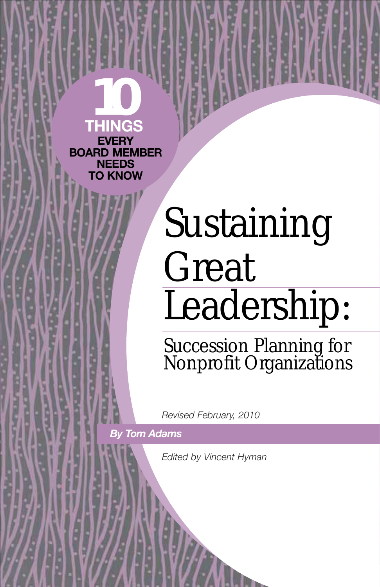

# Sustaining Great Leadership:

Succession Planning for Nonprofit Organizations

*Revised February, 2010*

**Tom Adams** 

*Edited by Vincent Hyman*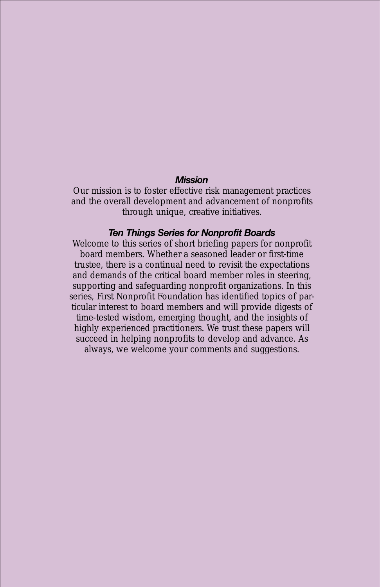#### *Mission*

Our mission is to foster effective risk management practices and the overall development and advancement of nonprofits through unique, creative initiatives.

#### *Ten Things Series for Nonprofit Boards*

Welcome to this series of short briefing papers for nonprofit board members. Whether a seasoned leader or first-time trustee, there is a continual need to revisit the expectations and demands of the critical board member roles in steering, supporting and safeguarding nonprofit organizations. In this series, First Nonprofit Foundation has identified topics of particular interest to board members and will provide digests of time-tested wisdom, emerging thought, and the insights of highly experienced practitioners. We trust these papers will succeed in helping nonprofits to develop and advance. As always, we welcome your comments and suggestions.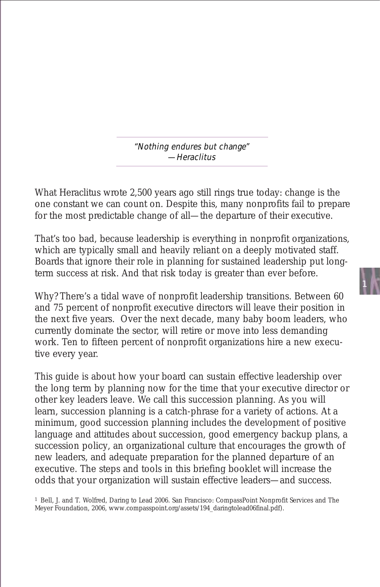"Nothing endures but change" —Heraclitus

What Heraclitus wrote 2,500 years ago still rings true today: change is the one constant we can count on. Despite this, many nonprofits fail to prepare for the most predictable change of all—the departure of their executive.

That's too bad, because leadership is everything in nonprofit organizations, which are typically small and heavily reliant on a deeply motivated staff. Boards that ignore their role in planning for sustained leadership put longterm success at risk. And that risk today is greater than ever before.

*1*

Why? There's a tidal wave of nonprofit leadership transitions. Between 60 and 75 percent of nonprofit executive directors will leave their position in the next five years. Over the next decade, many baby boom leaders, who currently dominate the sector, will retire or move into less demanding work. Ten to fifteen percent of nonprofit organizations hire a new executive every year.

This guide is about how your board can sustain effective leadership over the long term by planning now for the time that your executive director or other key leaders leave. We call this succession planning. As you will learn, succession planning is a catch-phrase for a variety of actions. At a minimum, good succession planning includes the development of positive language and attitudes about succession, good emergency backup plans, a succession policy, an organizational culture that encourages the growth of new leaders, and adequate preparation for the planned departure of an executive. The steps and tools in this briefing booklet will increase the odds that your organization will sustain effective leaders—and success.

<sup>1</sup> Bell, J. and T. Wolfred, Daring to Lead 2006. San Francisco: CompassPoint Nonprofit Services and The Meyer Foundation, 2006, www.compasspoint.org/assets/194\_daringtolead06final.pdf).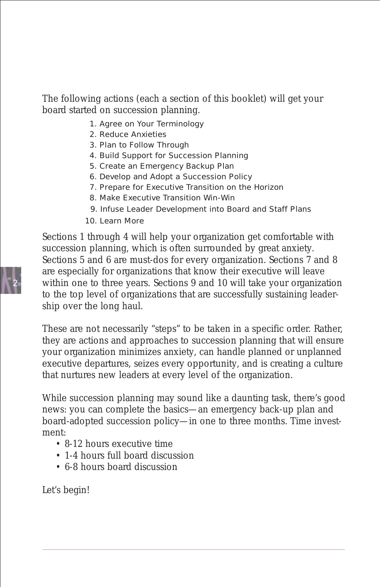The following actions (each a section of this booklet) will get your board started on succession planning.

- *1. Agree on Your Terminology*
- *2. Reduce Anxieties*
- *3. Plan to Follow Through*
- *4. Build Support for Succession Planning*
- *5. Create an Emergency Backup Plan*
- *6. Develop and Adopt a Succession Policy*
- *7. Prepare for Executive Transition on the Horizon*
- *8. Make Executive Transition Win-Win*
- *9. Infuse Leader Development into Board and Staff Plans*
- *10. Learn More*

Sections 1 through 4 will help your organization get comfortable with succession planning, which is often surrounded by great anxiety. Sections 5 and 6 are must-dos for every organization. Sections 7 and 8 are especially for organizations that know their executive will leave within one to three years. Sections 9 and 10 will take your organization *2 3* to the top level of organizations that are successfully sustaining leadership over the long haul.

These are not necessarily "steps" to be taken in a specific order. Rather, they are actions and approaches to succession planning that will ensure your organization minimizes anxiety, can handle planned or unplanned executive departures, seizes every opportunity, and is creating a culture that nurtures new leaders at every level of the organization.

While succession planning may sound like a daunting task, there's good news: you can complete the basics—an emergency back-up plan and board-adopted succession policy—in one to three months. Time investment:

- 8-12 hours executive time
- 1-4 hours full board discussion
- 6-8 hours board discussion

Let's begin!

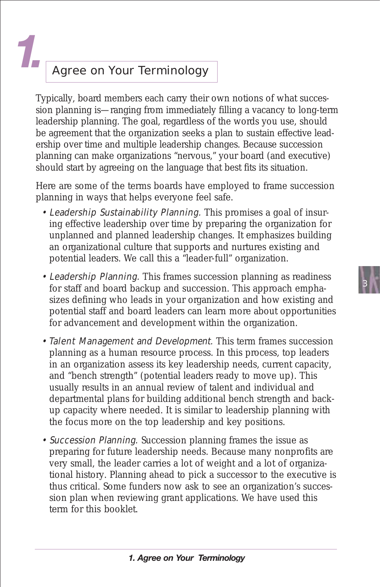#### *1. Agree on Your Terminology*

Typically, board members each carry their own notions of what succession planning is—ranging from immediately filling a vacancy to long-term leadership planning. The goal, regardless of the words you use, should be agreement that the organization seeks a plan to sustain effective leadership over time and multiple leadership changes. Because succession planning can make organizations "nervous," your board (and executive) should start by agreeing on the language that best fits its situation.

Here are some of the terms boards have employed to frame succession planning in ways that helps everyone feel safe.

- Leadership Sustainability Planning. This promises a goal of insuring effective leadership over time by preparing the organization for unplanned and planned leadership changes. It emphasizes building an organizational culture that supports and nurtures existing and potential leaders. We call this a "leader-full" organization.
- Leadership Planning. This frames succession planning as readiness for staff and board backup and succession. This approach empha-*2 3* sizes defining who leads in your organization and how existing and potential staff and board leaders can learn more about opportunities for advancement and development within the organization.
	- Talent Management and Development. This term frames succession planning as a human resource process. In this process, top leaders in an organization assess its key leadership needs, current capacity, and "bench strength" (potential leaders ready to move up). This usually results in an annual review of talent and individual and departmental plans for building additional bench strength and backup capacity where needed. It is similar to leadership planning with the focus more on the top leadership and key positions.
	- Succession Planning. Succession planning frames the issue as preparing for future leadership needs. Because many nonprofits are very small, the leader carries a lot of weight and a lot of organizational history. Planning ahead to pick a successor to the executive is thus critical. Some funders now ask to see an organization's succession plan when reviewing grant applications. We have used this term for this booklet.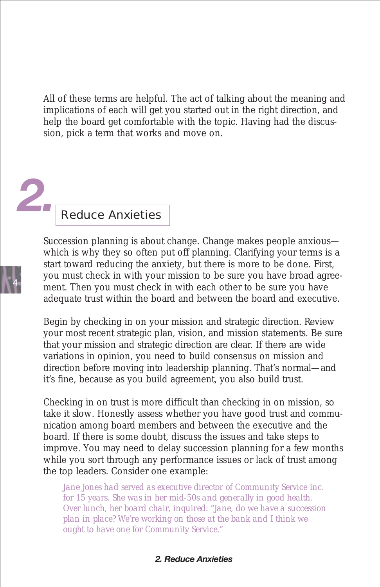All of these terms are helpful. The act of talking about the meaning and implications of each will get you started out in the right direction, and help the board get comfortable with the topic. Having had the discussion, pick a term that works and move on.





*4 5* ment. Then you must check in with each other to be sure you have Succession planning is about change. Change makes people anxious which is why they so often put off planning. Clarifying your terms is a start toward reducing the anxiety, but there is more to be done. First, you must check in with your mission to be sure you have broad agreeadequate trust within the board and between the board and executive.

Begin by checking in on your mission and strategic direction. Review your most recent strategic plan, vision, and mission statements. Be sure that your mission and strategic direction are clear. If there are wide variations in opinion, you need to build consensus on mission and direction before moving into leadership planning. That's normal—and it's fine, because as you build agreement, you also build trust.

Checking in on trust is more difficult than checking in on mission, so take it slow. Honestly assess whether you have good trust and communication among board members and between the executive and the board. If there is some doubt, discuss the issues and take steps to improve. You may need to delay succession planning for a few months while you sort through any performance issues or lack of trust among the top leaders. Consider one example:

*Jane Jones had served as executive director of Community Service Inc. for 15 years. She was in her mid-50s and generally in good health. Over lunch, her board chair, inquired: "Jane, do we have a succession plan in place? We're working on those at the bank and I think we ought to have one for Community Service."*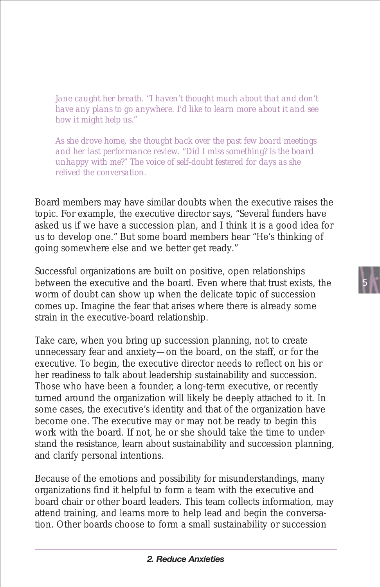*Jane caught her breath. "I haven't thought much about that and don't have any plans to go anywhere. I'd like to learn more about it and see how it might help us."*

*As she drove home, she thought back over the past few board meetings and her last performance review. "Did I miss something? Is the board unhappy with me?" The voice of self-doubt festered for days as she relived the conversation.*

Board members may have similar doubts when the executive raises the topic. For example, the executive director says, "Several funders have asked us if we have a succession plan, and I think it is a good idea for us to develop one." But some board members hear "He's thinking of going somewhere else and we better get ready."

Successful organizations are built on positive, open relationships between the executive and the board. Even where that trust exists, the *4 5* worm of doubt can show up when the delicate topic of succession comes up. Imagine the fear that arises where there is already some strain in the executive-board relationship.

> Take care, when you bring up succession planning, not to create unnecessary fear and anxiety—on the board, on the staff, or for the executive. To begin, the executive director needs to reflect on his or her readiness to talk about leadership sustainability and succession. Those who have been a founder, a long-term executive, or recently turned around the organization will likely be deeply attached to it. In some cases, the executive's identity and that of the organization have become one. The executive may or may not be ready to begin this work with the board. If not, he or she should take the time to understand the resistance, learn about sustainability and succession planning, and clarify personal intentions.

> Because of the emotions and possibility for misunderstandings, many organizations find it helpful to form a team with the executive and board chair or other board leaders. This team collects information, may attend training, and learns more to help lead and begin the conversation. Other boards choose to form a small sustainability or succession

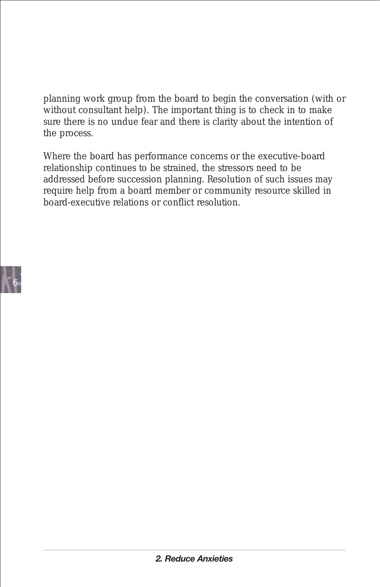planning work group from the board to begin the conversation (with or without consultant help). The important thing is to check in to make sure there is no undue fear and there is clarity about the intention of the process.

Where the board has performance concerns or the executive-board relationship continues to be strained, the stressors need to be addressed before succession planning. Resolution of such issues may require help from a board member or community resource skilled in board-executive relations or conflict resolution.



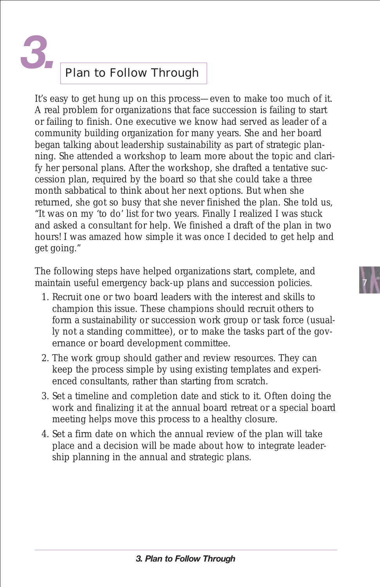

#### *3. Plan to Follow Through*

It's easy to get hung up on this process—even to make too much of it. A real problem for organizations that face succession is failing to start or failing to finish. One executive we know had served as leader of a community building organization for many years. She and her board began talking about leadership sustainability as part of strategic planning. She attended a workshop to learn more about the topic and clarify her personal plans. After the workshop, she drafted a tentative succession plan, required by the board so that she could take a three month sabbatical to think about her next options. But when she returned, she got so busy that she never finished the plan. She told us, "It was on my 'to do' list for two years. Finally I realized I was stuck and asked a consultant for help. We finished a draft of the plan in two hours! I was amazed how simple it was once I decided to get help and get going."

The following steps have helped organizations start, complete, and maintain useful emergency back-up plans and succession policies. *6 7*

- 1. Recruit one or two board leaders with the interest and skills to champion this issue. These champions should recruit others to form a sustainability or succession work group or task force (usually not a standing committee), or to make the tasks part of the governance or board development committee.
- 2. The work group should gather and review resources. They can keep the process simple by using existing templates and experienced consultants, rather than starting from scratch.
- 3. Set a timeline and completion date and stick to it. Often doing the work and finalizing it at the annual board retreat or a special board meeting helps move this process to a healthy closure.
- 4. Set a firm date on which the annual review of the plan will take place and a decision will be made about how to integrate leadership planning in the annual and strategic plans.

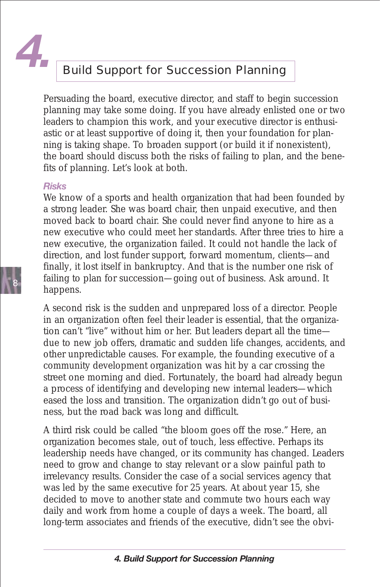

## *4. Build Support for Succession Planning*

Persuading the board, executive director, and staff to begin succession planning may take some doing. If you have already enlisted one or two leaders to champion this work, and your executive director is enthusiastic or at least supportive of doing it, then your foundation for planning is taking shape. To broaden support (or build it if nonexistent), the board should discuss both the risks of failing to plan, and the benefits of planning. Let's look at both.

#### *Risks*

We know of a sports and health organization that had been founded by a strong leader. She was board chair, then unpaid executive, and then moved back to board chair. She could never find anyone to hire as a new executive who could meet her standards. After three tries to hire a new executive, the organization failed. It could not handle the lack of direction, and lost funder support, forward momentum, clients—and finally, it lost itself in bankruptcy. And that is the number one risk of failing to plan for succession—going out of business. Ask around. It *8 9*happens.

A second risk is the sudden and unprepared loss of a director. People in an organization often feel their leader is essential, that the organization can't "live" without him or her. But leaders depart all the time due to new job offers, dramatic and sudden life changes, accidents, and other unpredictable causes. For example, the founding executive of a community development organization was hit by a car crossing the street one morning and died. Fortunately, the board had already begun a process of identifying and developing new internal leaders—which eased the loss and transition. The organization didn't go out of business, but the road back was long and difficult.

A third risk could be called "the bloom goes off the rose." Here, an organization becomes stale, out of touch, less effective. Perhaps its leadership needs have changed, or its community has changed. Leaders need to grow and change to stay relevant or a slow painful path to irrelevancy results. Consider the case of a social services agency that was led by the same executive for 25 years. At about year 15, she decided to move to another state and commute two hours each way daily and work from home a couple of days a week. The board, all long-term associates and friends of the executive, didn't see the obvi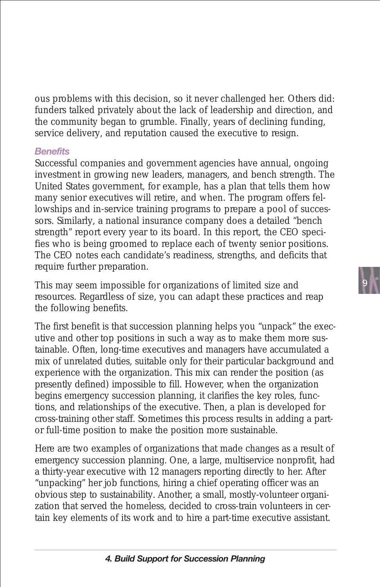ous problems with this decision, so it never challenged her. Others did: funders talked privately about the lack of leadership and direction, and the community began to grumble. Finally, years of declining funding, service delivery, and reputation caused the executive to resign.

#### *Benefits*

Successful companies and government agencies have annual, ongoing investment in growing new leaders, managers, and bench strength. The United States government, for example, has a plan that tells them how many senior executives will retire, and when. The program offers fellowships and in-service training programs to prepare a pool of successors. Similarly, a national insurance company does a detailed "bench strength" report every year to its board. In this report, the CEO specifies who is being groomed to replace each of twenty senior positions. The CEO notes each candidate's readiness, strengths, and deficits that require further preparation.

This may seem impossible for organizations of limited size and *8 9*resources. Regardless of size, you can adapt these practices and reap the following benefits.

> The first benefit is that succession planning helps you "unpack" the executive and other top positions in such a way as to make them more sustainable. Often, long-time executives and managers have accumulated a mix of unrelated duties, suitable only for their particular background and experience with the organization. This mix can render the position (as presently defined) impossible to fill. However, when the organization begins emergency succession planning, it clarifies the key roles, functions, and relationships of the executive. Then, a plan is developed for cross-training other staff. Sometimes this process results in adding a partor full-time position to make the position more sustainable.

> Here are two examples of organizations that made changes as a result of emergency succession planning. One, a large, multiservice nonprofit, had a thirty-year executive with 12 managers reporting directly to her. After "unpacking" her job functions, hiring a chief operating officer was an obvious step to sustainability. Another, a small, mostly-volunteer organization that served the homeless, decided to cross-train volunteers in certain key elements of its work and to hire a part-time executive assistant.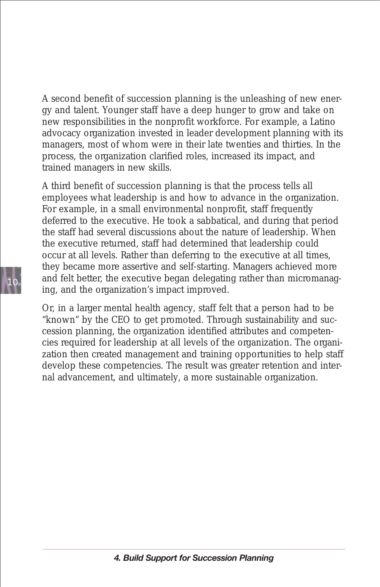A second benefit of succession planning is the unleashing of new energy and talent. Younger staff have a deep hunger to grow and take on new responsibilities in the nonprofit workforce. For example, a Latino advocacy organization invested in leader development planning with its managers, most of whom were in their late twenties and thirties. In the process, the organization clarified roles, increased its impact, and trained managers in new skills.

A third benefit of succession planning is that the process tells all employees what leadership is and how to advance in the organization. For example, in a small environmental nonprofit, staff frequently deferred to the executive. He took a sabbatical, and during that period the staff had several discussions about the nature of leadership. When the executive returned, staff had determined that leadership could occur at all levels. Rather than deferring to the executive at all times, they became more assertive and self-starting. Managers achieved more and felt better, the executive began delegating rather than micromanag-<br>*<sup>10</sup> internal the executivals invest invested* ing, and the organization's impact improved.

Or, in a larger mental health agency, staff felt that a person had to be "known" by the CEO to get promoted. Through sustainability and succession planning, the organization identified attributes and competencies required for leadership at all levels of the organization. The organization then created management and training opportunities to help staff develop these competencies. The result was greater retention and internal advancement, and ultimately, a more sustainable organization.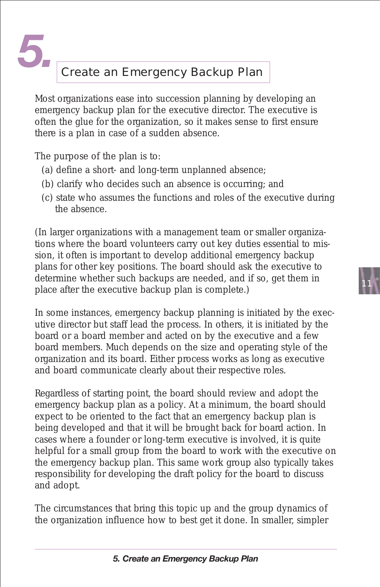# *5. Create an Emergency Backup Plan*

Most organizations ease into succession planning by developing an emergency backup plan for the executive director. The executive is often the glue for the organization, so it makes sense to first ensure there is a plan in case of a sudden absence.

The purpose of the plan is to:

- (a) define a short- and long-term unplanned absence;
- (b) clarify who decides such an absence is occurring; and
- (c) state who assumes the functions and roles of the executive during the absence.

(In larger organizations with a management team or smaller organizations where the board volunteers carry out key duties essential to mission, it often is important to develop additional emergency backup plans for other key positions. The board should ask the executive to determine whether such backups are needed, and if so, get them in place after the executive backup plan is complete.)

> In some instances, emergency backup planning is initiated by the executive director but staff lead the process. In others, it is initiated by the board or a board member and acted on by the executive and a few board members. Much depends on the size and operating style of the organization and its board. Either process works as long as executive and board communicate clearly about their respective roles.

> Regardless of starting point, the board should review and adopt the emergency backup plan as a policy. At a minimum, the board should expect to be oriented to the fact that an emergency backup plan is being developed and that it will be brought back for board action. In cases where a founder or long-term executive is involved, it is quite helpful for a small group from the board to work with the executive on the emergency backup plan. This same work group also typically takes responsibility for developing the draft policy for the board to discuss and adopt.

The circumstances that bring this topic up and the group dynamics of the organization influence how to best get it done. In smaller, simpler

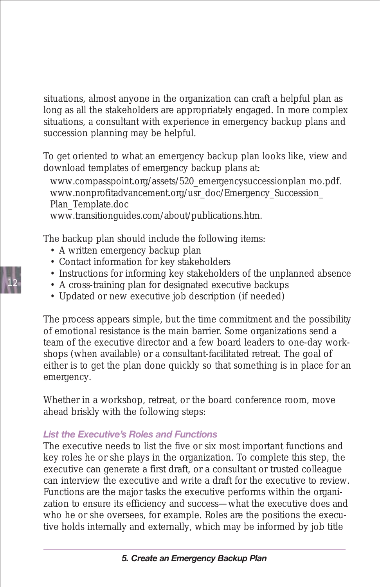situations, almost anyone in the organization can craft a helpful plan as long as all the stakeholders are appropriately engaged. In more complex situations, a consultant with experience in emergency backup plans and succession planning may be helpful.

To get oriented to what an emergency backup plan looks like, view and download templates of emergency backup plans at:

www.compasspoint.org/assets/520\_emergencysuccessionplan mo.pdf. www.nonprofitadvancement.org/usr\_doc/Emergency\_Succession\_ Plan\_Template.doc

www.transitionguides.com/about/publications.htm.

The backup plan should include the following items:

- A written emergency backup plan
- Contact information for key stakeholders
- Instructions for informing key stakeholders of the unplanned absence
- **•** A cross-training plan for designated executive backups
	- Updated or new executive job description (if needed)

The process appears simple, but the time commitment and the possibility of emotional resistance is the main barrier. Some organizations send a team of the executive director and a few board leaders to one-day workshops (when available) or a consultant-facilitated retreat. The goal of either is to get the plan done quickly so that something is in place for an emergency.

Whether in a workshop, retreat, or the board conference room, move ahead briskly with the following steps:

#### *List the Executive's Roles and Functions*

The executive needs to list the five or six most important functions and key roles he or she plays in the organization. To complete this step, the executive can generate a first draft, or a consultant or trusted colleague can interview the executive and write a draft for the executive to review. Functions are the major tasks the executive performs within the organization to ensure its efficiency and success—what the executive does and who he or she oversees, for example. Roles are the positions the executive holds internally and externally, which may be informed by job title

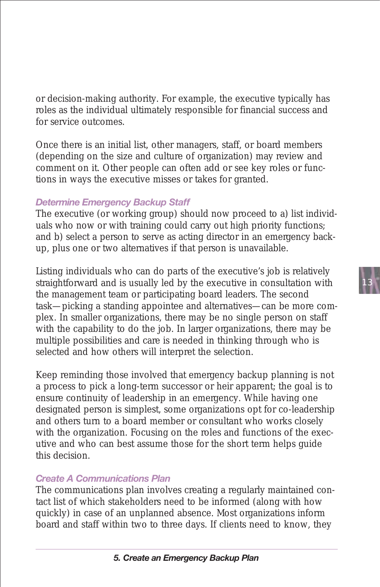or decision-making authority. For example, the executive typically has roles as the individual ultimately responsible for financial success and for service outcomes.

Once there is an initial list, other managers, staff, or board members (depending on the size and culture of organization) may review and comment on it. Other people can often add or see key roles or functions in ways the executive misses or takes for granted.

#### *Determine Emergency Backup Staff*

The executive (or working group) should now proceed to a) list individuals who now or with training could carry out high priority functions; and b) select a person to serve as acting director in an emergency backup, plus one or two alternatives if that person is unavailable.

Listing individuals who can do parts of the executive's job is relatively straightforward and is usually led by the executive in consultation with *12 13*the management team or participating board leaders. The second task—picking a standing appointee and alternatives—can be more complex. In smaller organizations, there may be no single person on staff with the capability to do the job. In larger organizations, there may be multiple possibilities and care is needed in thinking through who is selected and how others will interpret the selection.

> Keep reminding those involved that emergency backup planning is not a process to pick a long-term successor or heir apparent; the goal is to ensure continuity of leadership in an emergency. While having one designated person is simplest, some organizations opt for co-leadership and others turn to a board member or consultant who works closely with the organization. Focusing on the roles and functions of the executive and who can best assume those for the short term helps guide this decision.

#### *Create A Communications Plan*

The communications plan involves creating a regularly maintained contact list of which stakeholders need to be informed (along with how quickly) in case of an unplanned absence. Most organizations inform board and staff within two to three days. If clients need to know, they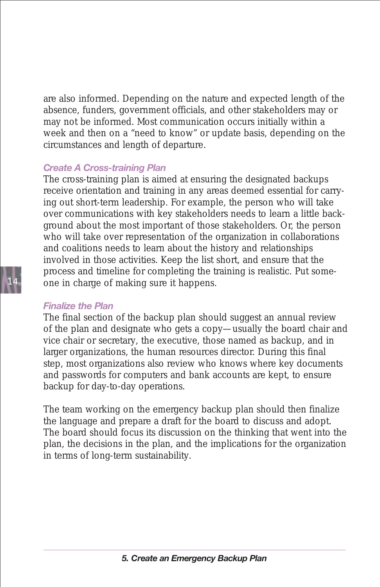are also informed. Depending on the nature and expected length of the absence, funders, government officials, and other stakeholders may or may not be informed. Most communication occurs initially within a week and then on a "need to know" or update basis, depending on the circumstances and length of departure.

#### *Create A Cross-training Plan*

The cross-training plan is aimed at ensuring the designated backups receive orientation and training in any areas deemed essential for carrying out short-term leadership. For example, the person who will take over communications with key stakeholders needs to learn a little background about the most important of those stakeholders. Or, the person who will take over representation of the organization in collaborations and coalitions needs to learn about the history and relationships involved in those activities. Keep the list short, and ensure that the process and timeline for completing the training is realistic. Put some-14 one in charge of making sure it happens.

#### *Finalize the Plan*

The final section of the backup plan should suggest an annual review of the plan and designate who gets a copy—usually the board chair and vice chair or secretary, the executive, those named as backup, and in larger organizations, the human resources director. During this final step, most organizations also review who knows where key documents and passwords for computers and bank accounts are kept, to ensure backup for day-to-day operations.

The team working on the emergency backup plan should then finalize the language and prepare a draft for the board to discuss and adopt. The board should focus its discussion on the thinking that went into the plan, the decisions in the plan, and the implications for the organization in terms of long-term sustainability.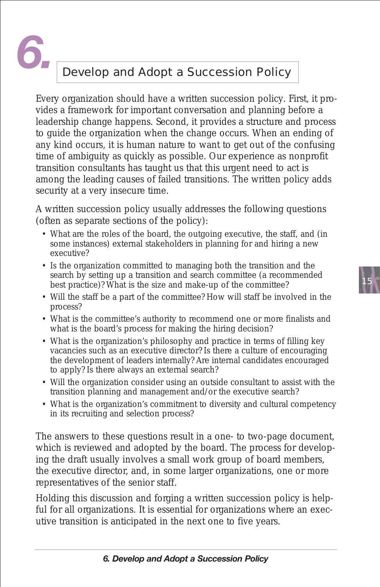#### *6. Develop and Adopt a Succession Policy*

Every organization should have a written succession policy. First, it provides a framework for important conversation and planning before a leadership change happens. Second, it provides a structure and process to guide the organization when the change occurs. When an ending of any kind occurs, it is human nature to want to get out of the confusing time of ambiguity as quickly as possible. Our experience as nonprofit transition consultants has taught us that this urgent need to act is among the leading causes of failed transitions. The written policy adds security at a very insecure time.

A written succession policy usually addresses the following questions (often as separate sections of the policy):

- What are the roles of the board, the outgoing executive, the staff, and (in some instances) external stakeholders in planning for and hiring a new executive?
- Is the organization committed to managing both the transition and the search by setting up a transition and search committee (a recommended best practice)? What is the size and make-up of the committee?
	- Will the staff be a part of the committee? How will staff be involved in the process?
	- What is the committee's authority to recommend one or more finalists and what is the board's process for making the hiring decision?
	- What is the organization's philosophy and practice in terms of filling key vacancies such as an executive director? Is there a culture of encouraging the development of leaders internally? Are internal candidates encouraged to apply? Is there always an external search?
	- Will the organization consider using an outside consultant to assist with the transition planning and management and/or the executive search?
	- What is the organization's commitment to diversity and cultural competency in its recruiting and selection process?

The answers to these questions result in a one- to two-page document, which is reviewed and adopted by the board. The process for developing the draft usually involves a small work group of board members, the executive director, and, in some larger organizations, one or more representatives of the senior staff.

Holding this discussion and forging a written succession policy is helpful for all organizations. It is essential for organizations where an executive transition is anticipated in the next one to five years.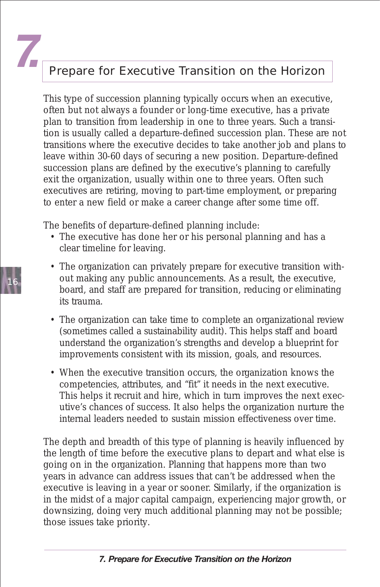

This type of succession planning typically occurs when an executive, often but not always a founder or long-time executive, has a private plan to transition from leadership in one to three years. Such a transition is usually called a departure-defined succession plan. These are not transitions where the executive decides to take another job and plans to leave within 30-60 days of securing a new position. Departure-defined succession plans are defined by the executive's planning to carefully exit the organization, usually within one to three years. Often such executives are retiring, moving to part-time employment, or preparing to enter a new field or make a career change after some time off.

The benefits of departure-defined planning include:

- The executive has done her or his personal planning and has a clear timeline for leaving.
- The organization can privately prepare for executive transition without making any public announcements. As a result, the executive, *16 17* board, and staff are prepared for transition, reducing or eliminating its trauma.
	- The organization can take time to complete an organizational review (sometimes called a sustainability audit). This helps staff and board understand the organization's strengths and develop a blueprint for improvements consistent with its mission, goals, and resources.
	- When the executive transition occurs, the organization knows the competencies, attributes, and "fit" it needs in the next executive. This helps it recruit and hire, which in turn improves the next executive's chances of success. It also helps the organization nurture the internal leaders needed to sustain mission effectiveness over time.

The depth and breadth of this type of planning is heavily influenced by the length of time before the executive plans to depart and what else is going on in the organization. Planning that happens more than two years in advance can address issues that can't be addressed when the executive is leaving in a year or sooner. Similarly, if the organization is in the midst of a major capital campaign, experiencing major growth, or downsizing, doing very much additional planning may not be possible; those issues take priority.

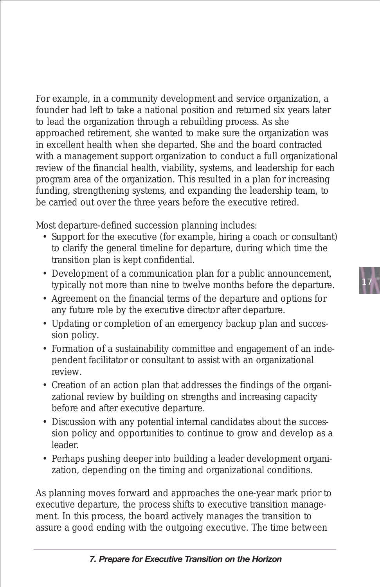For example, in a community development and service organization, a founder had left to take a national position and returned six years later to lead the organization through a rebuilding process. As she approached retirement, she wanted to make sure the organization was in excellent health when she departed. She and the board contracted with a management support organization to conduct a full organizational review of the financial health, viability, systems, and leadership for each program area of the organization. This resulted in a plan for increasing funding, strengthening systems, and expanding the leadership team, to be carried out over the three years before the executive retired.

Most departure-defined succession planning includes:

- Support for the executive (for example, hiring a coach or consultant) to clarify the general timeline for departure, during which time the transition plan is kept confidential.
- Development of a communication plan for a public announcement, typically not more than nine to twelve months before the departure. *16 17*
	- Agreement on the financial terms of the departure and options for any future role by the executive director after departure.
	- Updating or completion of an emergency backup plan and succession policy.
	- Formation of a sustainability committee and engagement of an independent facilitator or consultant to assist with an organizational review.
	- Creation of an action plan that addresses the findings of the organizational review by building on strengths and increasing capacity before and after executive departure.
	- Discussion with any potential internal candidates about the succession policy and opportunities to continue to grow and develop as a leader.
	- Perhaps pushing deeper into building a leader development organization, depending on the timing and organizational conditions.

As planning moves forward and approaches the one-year mark prior to executive departure, the process shifts to executive transition management. In this process, the board actively manages the transition to assure a good ending with the outgoing executive. The time between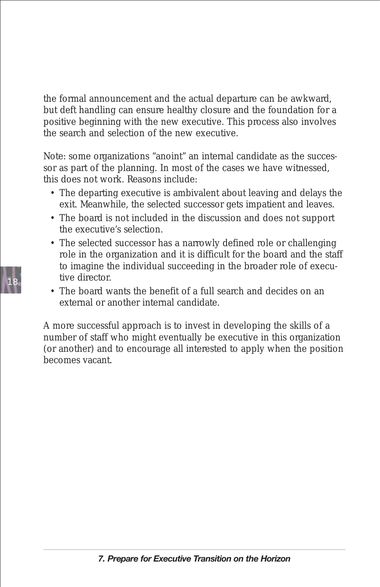the formal announcement and the actual departure can be awkward, but deft handling can ensure healthy closure and the foundation for a positive beginning with the new executive. This process also involves the search and selection of the new executive.

Note: some organizations "anoint" an internal candidate as the successor as part of the planning. In most of the cases we have witnessed, this does not work. Reasons include:

- The departing executive is ambivalent about leaving and delays the exit. Meanwhile, the selected successor gets impatient and leaves.
- The board is not included in the discussion and does not support the executive's selection.
- The selected successor has a narrowly defined role or challenging role in the organization and it is difficult for the board and the staff to imagine the individual succeeding in the broader role of executive director. 18 *III*  $\alpha$  *III*  $\alpha$  *III*  $\alpha$  *III*  $\alpha$  *III*  $\alpha$  *III*  $\alpha$  *III*  $\alpha$  *III*  $\alpha$  *III*  $\alpha$  *III*  $\alpha$  *III*  $\alpha$  *III*  $\alpha$  *III*  $\alpha$  *III*  $\alpha$  *III*  $\alpha$  *III*  $\alpha$  *III*  $\alpha$ 
	- The board wants the benefit of a full search and decides on an external or another internal candidate.

A more successful approach is to invest in developing the skills of a number of staff who might eventually be executive in this organization (or another) and to encourage all interested to apply when the position becomes vacant.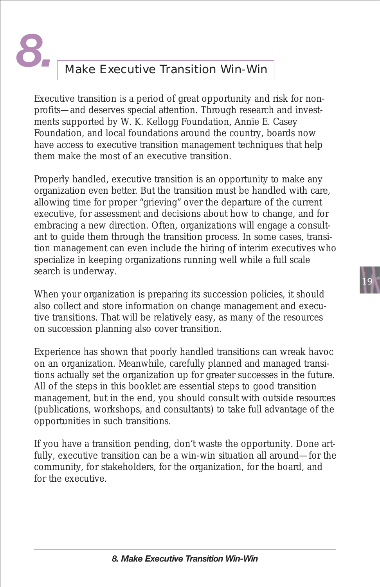### *Make Executive Transition Win-Win*

*8.*

Executive transition is a period of great opportunity and risk for nonprofits—and deserves special attention. Through research and investments supported by W. K. Kellogg Foundation, Annie E. Casey Foundation, and local foundations around the country, boards now have access to executive transition management techniques that help them make the most of an executive transition.

Properly handled, executive transition is an opportunity to make any organization even better. But the transition must be handled with care, allowing time for proper "grieving" over the departure of the current executive, for assessment and decisions about how to change, and for embracing a new direction. Often, organizations will engage a consultant to guide them through the transition process. In some cases, transition management can even include the hiring of interim executives who specialize in keeping organizations running well while a full scale search is underway.

When your organization is preparing its succession policies, it should also collect and store information on change management and executive transitions. That will be relatively easy, as many of the resources on succession planning also cover transition.

Experience has shown that poorly handled transitions can wreak havoc on an organization. Meanwhile, carefully planned and managed transitions actually set the organization up for greater successes in the future. All of the steps in this booklet are essential steps to good transition management, but in the end, you should consult with outside resources (publications, workshops, and consultants) to take full advantage of the opportunities in such transitions.

If you have a transition pending, don't waste the opportunity. Done artfully, executive transition can be a win-win situation all around—for the community, for stakeholders, for the organization, for the board, and for the executive.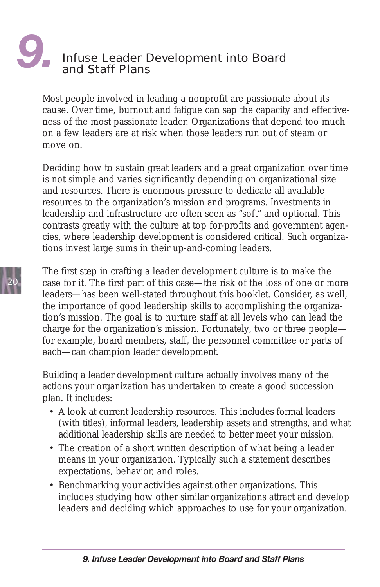## *Infuse Leader Development into Board 9. and Staff Plans*

Most people involved in leading a nonprofit are passionate about its cause. Over time, burnout and fatigue can sap the capacity and effectiveness of the most passionate leader. Organizations that depend too much on a few leaders are at risk when those leaders run out of steam or move on.

Deciding how to sustain great leaders and a great organization over time is not simple and varies significantly depending on organizational size and resources. There is enormous pressure to dedicate all available resources to the organization's mission and programs. Investments in leadership and infrastructure are often seen as "soft" and optional. This contrasts greatly with the culture at top for-profits and government agencies, where leadership development is considered critical. Such organizations invest large sums in their up-and-coming leaders.

*20 21* case for it. The first part of this case—the risk of the loss of one or more The first step in crafting a leader development culture is to make the leaders—has been well-stated throughout this booklet. Consider, as well, the importance of good leadership skills to accomplishing the organization's mission. The goal is to nurture staff at all levels who can lead the charge for the organization's mission. Fortunately, two or three people for example, board members, staff, the personnel committee or parts of each—can champion leader development.

Building a leader development culture actually involves many of the actions your organization has undertaken to create a good succession plan. It includes:

- A look at current leadership resources. This includes formal leaders (with titles), informal leaders, leadership assets and strengths, and what additional leadership skills are needed to better meet your mission.
- The creation of a short written description of what being a leader means in your organization. Typically such a statement describes expectations, behavior, and roles.
- Benchmarking your activities against other organizations. This includes studying how other similar organizations attract and develop leaders and deciding which approaches to use for your organization.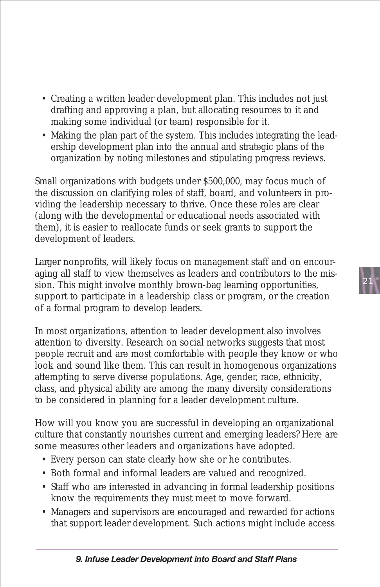- Creating a written leader development plan. This includes not just drafting and approving a plan, but allocating resources to it and making some individual (or team) responsible for it.
- Making the plan part of the system. This includes integrating the leadership development plan into the annual and strategic plans of the organization by noting milestones and stipulating progress reviews.

Small organizations with budgets under \$500,000, may focus much of the discussion on clarifying roles of staff, board, and volunteers in providing the leadership necessary to thrive. Once these roles are clear (along with the developmental or educational needs associated with them), it is easier to reallocate funds or seek grants to support the development of leaders.

*20 21* sion. This might involve monthly brown-bag learning opportunities, Larger nonprofits, will likely focus on management staff and on encouraging all staff to view themselves as leaders and contributors to the missupport to participate in a leadership class or program, or the creation of a formal program to develop leaders.

> In most organizations, attention to leader development also involves attention to diversity. Research on social networks suggests that most people recruit and are most comfortable with people they know or who look and sound like them. This can result in homogenous organizations attempting to serve diverse populations. Age, gender, race, ethnicity, class, and physical ability are among the many diversity considerations to be considered in planning for a leader development culture.

> How will you know you are successful in developing an organizational culture that constantly nourishes current and emerging leaders? Here are some measures other leaders and organizations have adopted.

- Every person can state clearly how she or he contributes.
- Both formal and informal leaders are valued and recognized.
- Staff who are interested in advancing in formal leadership positions know the requirements they must meet to move forward.
- Managers and supervisors are encouraged and rewarded for actions that support leader development. Such actions might include access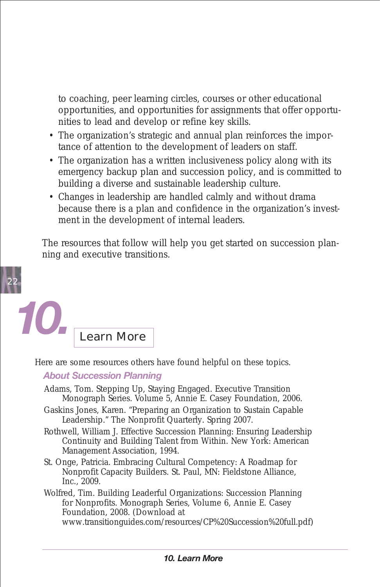to coaching, peer learning circles, courses or other educational opportunities, and opportunities for assignments that offer opportunities to lead and develop or refine key skills.

- The organization's strategic and annual plan reinforces the importance of attention to the development of leaders on staff.
- The organization has a written inclusiveness policy along with its emergency backup plan and succession policy, and is committed to building a diverse and sustainable leadership culture.
- Changes in leadership are handled calmly and without drama because there is a plan and confidence in the organization's investment in the development of internal leaders.

The resources that follow will help you get started on succession planning and executive transitions.



Here are some resources others have found helpful on these topics.

*About Succession Planning*

- Adams, Tom. Stepping Up, Staying Engaged. Executive Transition Monograph Series. Volume 5, Annie E. Casey Foundation, 2006.
- Gaskins Jones, Karen. "Preparing an Organization to Sustain Capable Leadership." The Nonprofit Quarterly. Spring 2007.
- Rothwell, William J. Effective Succession Planning: Ensuring Leadership Continuity and Building Talent from Within. New York: American Management Association, 1994.
- St. Onge, Patricia. Embracing Cultural Competency: A Roadmap for Nonprofit Capacity Builders. St. Paul, MN: Fieldstone Alliance, Inc., 2009.
- Wolfred, Tim. Building Leaderful Organizations: Succession Planning for Nonprofits. Monograph Series, Volume 6, Annie E. Casey Foundation, 2008. (Download at www.transitionguides.com/resources/CP%20Succession%20full.pdf)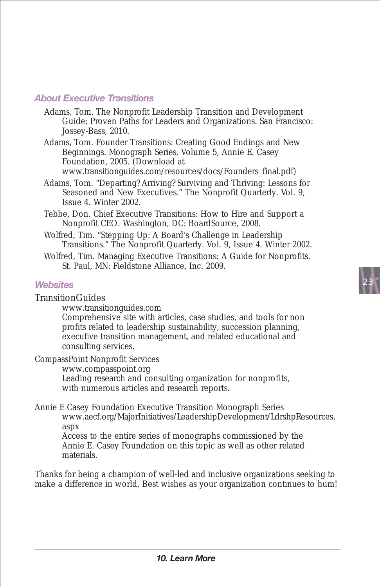#### *About Executive Transitions*

- Adams, Tom. The Nonprofit Leadership Transition and Development Guide: Proven Paths for Leaders and Organizations. San Francisco: Jossey-Bass, 2010.
- Adams, Tom. Founder Transitions: Creating Good Endings and New Beginnings. Monograph Series. Volume 5, Annie E. Casey Foundation, 2005. (Download at www.transitionguides.com/resources/docs/Founders\_final.pdf)
- Adams, Tom. "Departing? Arriving? Surviving and Thriving: Lessons for Seasoned and New Executives." The Nonprofit Quarterly. Vol. 9, Issue 4. Winter 2002.
- Tebbe, Don. Chief Executive Transitions: How to Hire and Support a Nonprofit CEO. Washington, DC: BoardSource, 2008.
- Wolfred, Tim. "Stepping Up: A Board's Challenge in Leadership Transitions." The Nonprofit Quarterly. Vol. 9, Issue 4. Winter 2002.
- Wolfred, Tim. Managing Executive Transitions: A Guide for Nonprofits. St. Paul, MN: Fieldstone Alliance, Inc. 2009.

#### *22 23 Websites*

TransitionGuides

www.transitionguides.com

Comprehensive site with articles, case studies, and tools for non profits related to leadership sustainability, succession planning, executive transition management, and related educational and consulting services.

CompassPoint Nonprofit Services

www.compasspoint.org

Leading research and consulting organization for nonprofits, with numerous articles and research reports.

Annie E Casey Foundation Executive Transition Monograph Series www.aecf.org/MajorInitiatives/LeadershipDevelopment/LdrshpResources. aspx

Access to the entire series of monographs commissioned by the Annie E. Casey Foundation on this topic as well as other related materials.

Thanks for being a champion of well-led and inclusive organizations seeking to make a difference in world. Best wishes as your organization continues to hum!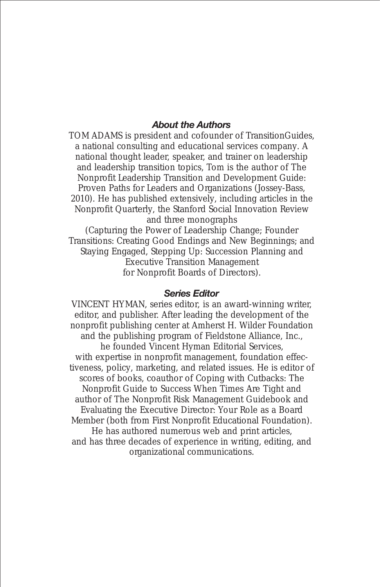#### *About the Authors*

TOM ADAMS is president and cofounder of TransitionGuides, a national consulting and educational services company. A national thought leader, speaker, and trainer on leadership and leadership transition topics, Tom is the author of The Nonprofit Leadership Transition and Development Guide: Proven Paths for Leaders and Organizations (Jossey-Bass, 2010). He has published extensively, including articles in the Nonprofit Quarterly, the Stanford Social Innovation Review and three monographs (Capturing the Power of Leadership Change; Founder Transitions: Creating Good Endings and New Beginnings; and Staying Engaged, Stepping Up: Succession Planning and Executive Transition Management for Nonprofit Boards of Directors).

#### *Series Editor*

VINCENT HYMAN, series editor, is an award-winning writer, editor, and publisher. After leading the development of the nonprofit publishing center at Amherst H. Wilder Foundation and the publishing program of Fieldstone Alliance, Inc., he founded Vincent Hyman Editorial Services, with expertise in nonprofit management, foundation effectiveness, policy, marketing, and related issues. He is editor of scores of books, coauthor of Coping with Cutbacks: The Nonprofit Guide to Success When Times Are Tight and author of The Nonprofit Risk Management Guidebook and Evaluating the Executive Director: Your Role as a Board Member (both from First Nonprofit Educational Foundation). He has authored numerous web and print articles, and has three decades of experience in writing, editing, and organizational communications.